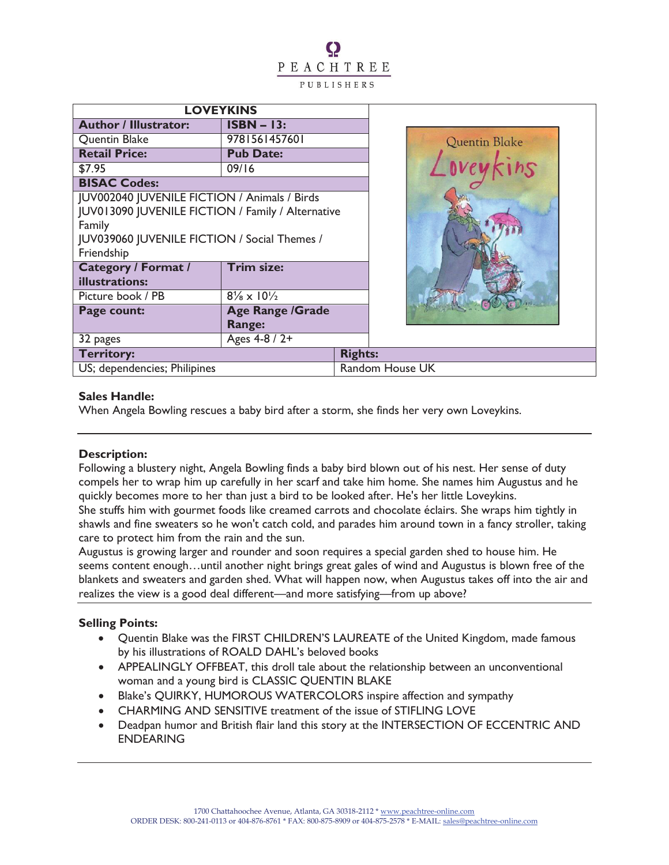# PEACHTREE PUBLISHERS

| <b>LOVEYKINS</b>                                  |                                     |                 |               |  |
|---------------------------------------------------|-------------------------------------|-----------------|---------------|--|
| <b>Author / Illustrator:</b>                      | $ISBN - 13:$                        |                 |               |  |
| Quentin Blake                                     | 9781561457601                       |                 | Quentin Blake |  |
| <b>Retail Price:</b>                              | <b>Pub Date:</b>                    |                 |               |  |
| \$7.95                                            | 09/16                               |                 |               |  |
| <b>BISAC Codes:</b>                               |                                     |                 |               |  |
| JUV002040 JUVENILE FICTION / Animals / Birds      |                                     |                 |               |  |
| JUV013090 JUVENILE FICTION / Family / Alternative |                                     |                 |               |  |
| Family                                            |                                     |                 |               |  |
| JUV039060 JUVENILE FICTION / Social Themes /      |                                     |                 |               |  |
| Friendship                                        |                                     |                 |               |  |
| <b>Category / Format /</b>                        | <b>Trim size:</b>                   |                 |               |  |
| illustrations:                                    |                                     |                 |               |  |
| Picture book / PB                                 | $8\frac{1}{8} \times 10\frac{1}{2}$ |                 |               |  |
| Page count:                                       | <b>Age Range /Grade</b>             |                 |               |  |
|                                                   | <b>Range:</b>                       |                 |               |  |
| 32 pages                                          | Ages 4-8 / 2+                       |                 |               |  |
| <b>Territory:</b>                                 |                                     | <b>Rights:</b>  |               |  |
| US; dependencies; Philipines                      |                                     | Random House UK |               |  |

# **Sales Handle:**

When Angela Bowling rescues a baby bird after a storm, she finds her very own Loveykins.

## **Description:**

Following a blustery night, Angela Bowling finds a baby bird blown out of his nest. Her sense of duty compels her to wrap him up carefully in her scarf and take him home. She names him Augustus and he quickly becomes more to her than just a bird to be looked after. He's her little Loveykins. She stuffs him with gourmet foods like creamed carrots and chocolate éclairs. She wraps him tightly in shawls and fine sweaters so he won't catch cold, and parades him around town in a fancy stroller, taking care to protect him from the rain and the sun.

Augustus is growing larger and rounder and soon requires a special garden shed to house him. He seems content enough…until another night brings great gales of wind and Augustus is blown free of the blankets and sweaters and garden shed. What will happen now, when Augustus takes off into the air and realizes the view is a good deal different—and more satisfying—from up above?

# **Selling Points:**

- · Quentin Blake was the FIRST CHILDREN'S LAUREATE of the United Kingdom, made famous by his illustrations of ROALD DAHL's beloved books
- · APPEALINGLY OFFBEAT, this droll tale about the relationship between an unconventional woman and a young bird is CLASSIC QUENTIN BLAKE
- Blake's QUIRKY, HUMOROUS WATERCOLORS inspire affection and sympathy
- · CHARMING AND SENSITIVE treatment of the issue of STIFLING LOVE
- · Deadpan humor and British flair land this story at the INTERSECTION OF ECCENTRIC AND ENDEARING